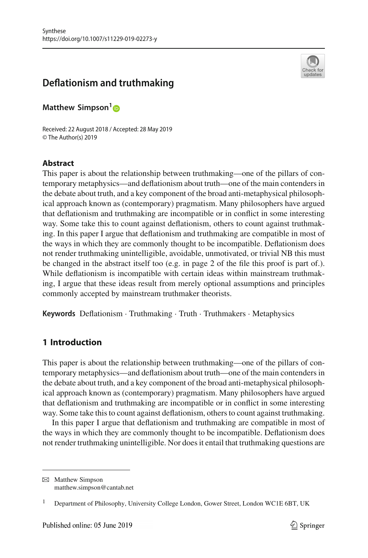

# **Deflationism and truthmaking**

**Matthew Simpson[1](http://orcid.org/0000-0002-4743-969X)**

Received: 22 August 2018 / Accepted: 28 May 2019 © The Author(s) 2019

# **Abstract**

This paper is about the relationship between truthmaking—one of the pillars of contemporary metaphysics—and deflationism about truth—one of the main contenders in the debate about truth, and a key component of the broad anti-metaphysical philosophical approach known as (contemporary) pragmatism. Many philosophers have argued that deflationism and truthmaking are incompatible or in conflict in some interesting way. Some take this to count against deflationism, others to count against truthmaking. In this paper I argue that deflationism and truthmaking are compatible in most of the ways in which they are commonly thought to be incompatible. Deflationism does not render truthmaking unintelligible, avoidable, unmotivated, or trivial NB this must be changed in the abstract itself too (e.g. in page 2 of the file this proof is part of.). While deflationism is incompatible with certain ideas within mainstream truthmaking, I argue that these ideas result from merely optional assumptions and principles commonly accepted by mainstream truthmaker theorists.

**Keywords** Deflationism · Truthmaking · Truth · Truthmakers · Metaphysics

# **1 Introduction**

This paper is about the relationship between truthmaking—one of the pillars of contemporary metaphysics—and deflationism about truth—one of the main contenders in the debate about truth, and a key component of the broad anti-metaphysical philosophical approach known as (contemporary) pragmatism. Many philosophers have argued that deflationism and truthmaking are incompatible or in conflict in some interesting way. Some take this to count against deflationism, others to count against truthmaking.

In this paper I argue that deflationism and truthmaking are compatible in most of the ways in which they are commonly thought to be incompatible. Deflationism does not render truthmaking unintelligible. Nor does it entail that truthmaking questions are

 $\boxtimes$  Matthew Simpson matthew.simpson@cantab.net

<sup>&</sup>lt;sup>1</sup> Department of Philosophy, University College London, Gower Street, London WC1E 6BT, UK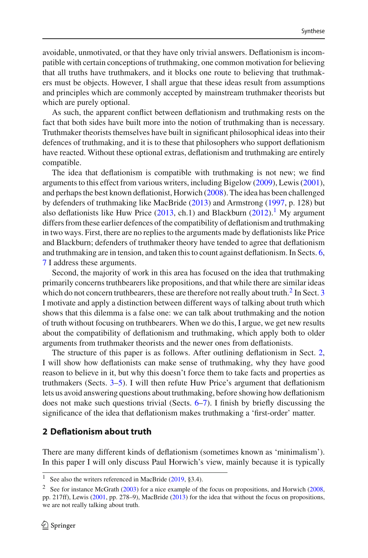avoidable, unmotivated, or that they have only trivial answers. Deflationism is incompatible with certain conceptions of truthmaking, one common motivation for believing that all truths have truthmakers, and it blocks one route to believing that truthmakers must be objects. However, I shall argue that these ideas result from assumptions and principles which are commonly accepted by mainstream truthmaker theorists but which are purely optional.

As such, the apparent conflict between deflationism and truthmaking rests on the fact that both sides have built more into the notion of truthmaking than is necessary. Truthmaker theorists themselves have built in significant philosophical ideas into their defences of truthmaking, and it is to these that philosophers who support deflationism have reacted. Without these optional extras, deflationism and truthmaking are entirely compatible.

The idea that deflationism is compatible with truthmaking is not new; we find arguments to this effect from various writers, including Bigelo[w](#page-23-0) [\(2009\)](#page-23-0), Lewi[s](#page-23-1) [\(2001](#page-23-1)), and perhaps the best known deflationist, Horwic[h](#page-23-2) [\(2008\)](#page-23-2). The idea has been challenged by defenders of truthmaking like MacBrid[e](#page-23-3) [\(2013\)](#page-23-3) and Armstrong [\(1997](#page-23-4), p. 128) but also deflatio[n](#page-23-5)ists like Huw Price  $(2013, ch.1)$  $(2013, ch.1)$  $(2013, ch.1)$  $(2013, ch.1)$  and Blackburn  $(2012).<sup>1</sup>$  $(2012).<sup>1</sup>$  My argument differs from these earlier defences of the compatibility of deflationism and truthmaking in two ways. First, there are no replies to the arguments made by deflationists like Price and Blackburn; defenders of truthmaker theory have tended to agree that deflationism and truthmaking are in tension, and taken this to count against deflationism. In Sects. [6,](#page-15-0) [7](#page-18-0) I address these arguments.

Second, the majority of work in this area has focused on the idea that truthmaking primarily concerns truthbearers like propositions, and that while there are similar ideas which do not concern truthbearers, these are therefore not really about truth.<sup>2</sup> In Sect. [3](#page-3-0) I motivate and apply a distinction between different ways of talking about truth which shows that this dilemma is a false one: we can talk about truthmaking and the notion of truth without focusing on truthbearers. When we do this, I argue, we get new results about the compatibility of deflationism and truthmaking, which apply both to older arguments from truthmaker theorists and the newer ones from deflationists.

The structure of this paper is as follows. After outlining deflationism in Sect. [2,](#page-1-2) I will show how deflationists can make sense of truthmaking, why they have good reason to believe in it, but why this doesn't force them to take facts and properties as truthmakers (Sects. [3](#page-3-0)[–5\)](#page-13-0). I will then refute Huw Price's argument that deflationism lets us avoid answering questions about truthmaking, before showing how deflationism does not make such questions trivial (Sects. [6](#page-15-0)[–7\)](#page-18-0). I finish by briefly discussing the significance of the idea that deflationism makes truthmaking a 'first-order' matter.

#### <span id="page-1-2"></span>**2 Deflationism about truth**

There are many different kinds of deflationism (sometimes known as 'minimalism'). In this paper I will only discuss Paul Horwich's view, mainly because it is typically

<span id="page-1-0"></span><sup>&</sup>lt;sup>1</sup> See also the writers referenced in MacBride [\(2019](#page-23-6), §3.4).

<span id="page-1-1"></span><sup>&</sup>lt;sup>2</sup> See for instance McGrat[h](#page-23-7) [\(2003](#page-23-7)) for a nice example of the focus on propositions, and Horwich [\(2008](#page-23-2), pp. 217ff), Lewis [\(2001,](#page-23-1) pp. 278–9), MacBrid[e](#page-23-3) [\(2013\)](#page-23-3) for the idea that without the focus on propositions, we are not really talking about truth.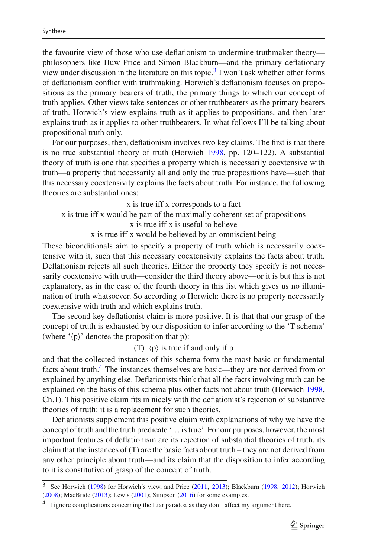the favourite view of those who use deflationism to undermine truthmaker theory philosophers like Huw Price and Simon Blackburn—and the primary deflationary view under discussion in the literature on this topic.<sup>[3](#page-2-0)</sup> I won't ask whether other forms of deflationism conflict with truthmaking. Horwich's deflationism focuses on propositions as the primary bearers of truth, the primary things to which our concept of truth applies. Other views take sentences or other truthbearers as the primary bearers of truth. Horwich's view explains truth as it applies to propositions, and then later explains truth as it applies to other truthbearers. In what follows I'll be talking about propositional truth only.

For our purposes, then, deflationism involves two key claims. The first is that there is no true substantial theory of truth (Horwic[h](#page-23-8) [1998](#page-23-8), pp. 120–122). A substantial theory of truth is one that specifies a property which is necessarily coextensive with truth—a property that necessarily all and only the true propositions have—such that this necessary coextensivity explains the facts about truth. For instance, the following theories are substantial ones:

x is true iff x corresponds to a fact

x is true iff x would be part of the maximally coherent set of propositions

x is true iff x is useful to believe

x is true iff x would be believed by an omniscient being

These biconditionals aim to specify a property of truth which is necessarily coextensive with it, such that this necessary coextensivity explains the facts about truth. Deflationism rejects all such theories. Either the property they specify is not necessarily coextensive with truth—consider the third theory above—or it is but this is not explanatory, as in the case of the fourth theory in this list which gives us no illumination of truth whatsoever. So according to Horwich: there is no property necessarily coextensive with truth and which explains truth.

The second key deflationist claim is more positive. It is that that our grasp of the concept of truth is exhausted by our disposition to infer according to the 'T-schema' (where  $\langle p \rangle$  denotes the proposition that p):

(T)  $\langle p \rangle$  is true if and only if p

and that the collected instances of this schema form the most basic or fundamental facts about truth.<sup>4</sup> The instances themselves are basic—they are not derived from or explained by anything else. Deflationists think that all the facts involving truth can be explained on the basis of this schema plus other facts not about truth (Horwic[h](#page-23-8) [1998,](#page-23-8) Ch.1). This positive claim fits in nicely with the deflationist's rejection of substantive theories of truth: it is a replacement for such theories.

Deflationists supplement this positive claim with explanations of why we have the concept of truth and the truth predicate '… is true'. For our purposes, however, the most important features of deflationism are its rejection of substantial theories of truth, its claim that the instances of (T) are the basic facts about truth – they are not derived from any other principle about truth—and its claim that the disposition to infer according to it is constitutive of grasp of the concept of truth.

<span id="page-2-0"></span><sup>&</sup>lt;sup>3</sup> See Horwic[h](#page-23-2) [\(1998\)](#page-23-8) for Horwich's vi[e](#page-24-1)w, and Price [\(2011,](#page-24-1) [2013](#page-24-0)); Blackbur[n](#page-23-9) [\(1998](#page-23-9), [2012\)](#page-23-5); Horwich [\(2008](#page-23-2)); MacBrid[e](#page-23-3) [\(2013\)](#page-23-3); Lewi[s](#page-23-1) [\(2001](#page-23-1)); Simpso[n](#page-24-2) [\(2016\)](#page-24-2) for some examples.

<span id="page-2-1"></span><sup>&</sup>lt;sup>4</sup> I ignore complications concerning the Liar paradox as they don't affect my argument here.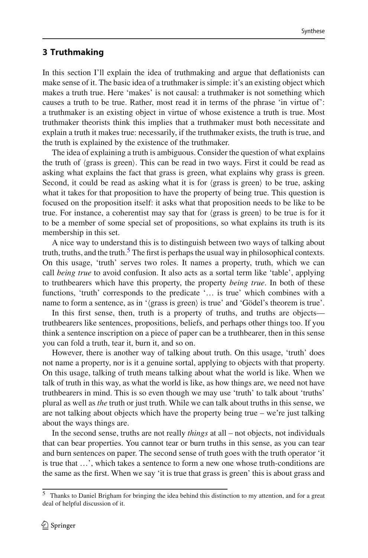### <span id="page-3-0"></span>**3 Truthmaking**

In this section I'll explain the idea of truthmaking and argue that deflationists can make sense of it. The basic idea of a truthmaker is simple: it's an existing object which makes a truth true. Here 'makes' is not causal: a truthmaker is not something which causes a truth to be true. Rather, most read it in terms of the phrase 'in virtue of': a truthmaker is an existing object in virtue of whose existence a truth is true. Most truthmaker theorists think this implies that a truthmaker must both necessitate and explain a truth it makes true: necessarily, if the truthmaker exists, the truth is true, and the truth is explained by the existence of the truthmaker.

The idea of explaining a truth is ambiguous. Consider the question of what explains the truth of  $\langle$ grass is green $\rangle$ . This can be read in two ways. First it could be read as asking what explains the fact that grass is green, what explains why grass is green. Second, it could be read as asking what it is for  $\langle$ grass is green $\rangle$  to be true, asking what it takes for that proposition to have the property of being true. This question is focused on the proposition itself: it asks what that proposition needs to be like to be true. For instance, a coherentist may say that for  $\langle$ grass is green $\rangle$  to be true is for it to be a member of some special set of propositions, so what explains its truth is its membership in this set.

A nice way to understand this is to distinguish between two ways of talking about truth, truths, and the truth.<sup>[5](#page-3-1)</sup> The first is perhaps the usual way in philosophical contexts. On this usage, 'truth' serves two roles. It names a property, truth, which we can call *being true* to avoid confusion. It also acts as a sortal term like 'table', applying to truthbearers which have this property, the property *being true*. In both of these functions, 'truth' corresponds to the predicate '… is true' which combines with a name to form a sentence, as in '(grass is green) is true' and 'Gödel's theorem is true'.

In this first sense, then, truth is a property of truths, and truths are objects truthbearers like sentences, propositions, beliefs, and perhaps other things too. If you think a sentence inscription on a piece of paper can be a truthbearer, then in this sense you can fold a truth, tear it, burn it, and so on.

However, there is another way of talking about truth. On this usage, 'truth' does not name a property, nor is it a genuine sortal, applying to objects with that property. On this usage, talking of truth means talking about what the world is like. When we talk of truth in this way, as what the world is like, as how things are, we need not have truthbearers in mind. This is so even though we may use 'truth' to talk about 'truths' plural as well as *the* truth or just truth. While we can talk about truths in this sense, we are not talking about objects which have the property being true – we're just talking about the ways things are.

In the second sense, truths are not really *things* at all – not objects, not individuals that can bear properties. You cannot tear or burn truths in this sense, as you can tear and burn sentences on paper. The second sense of truth goes with the truth operator 'it is true that …', which takes a sentence to form a new one whose truth-conditions are the same as the first. When we say 'it is true that grass is green' this is about grass and

<span id="page-3-1"></span><sup>5</sup> Thanks to Daniel Brigham for bringing the idea behind this distinction to my attention, and for a great deal of helpful discussion of it.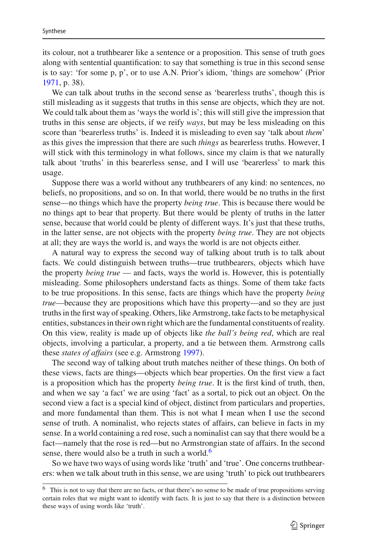its colour, not a truthbearer like a sentence or a proposition. This sense of truth goes along with sentential quantification: to say that something is true in this second sense is to say: 'for some p, p', or to use A.N. Prior's idiom, 'things are somehow' (Prio[r](#page-24-3) [1971,](#page-24-3) p. 38).

We can talk about truths in the second sense as 'bearerless truths', though this is still misleading as it suggests that truths in this sense are objects, which they are not. We could talk about them as 'ways the world is'; this will still give the impression that truths in this sense are objects, if we reify *ways*, but may be less misleading on this score than 'bearerless truths' is. Indeed it is misleading to even say 'talk about *them*' as this gives the impression that there are such *things* as bearerless truths. However, I will stick with this terminology in what follows, since my claim is that we naturally talk about 'truths' in this bearerless sense, and I will use 'bearerless' to mark this usage.

Suppose there was a world without any truthbearers of any kind: no sentences, no beliefs, no propositions, and so on. In that world, there would be no truths in the first sense—no things which have the property *being true*. This is because there would be no things apt to bear that property. But there would be plenty of truths in the latter sense, because that world could be plenty of different ways. It's just that these truths, in the latter sense, are not objects with the property *being true*. They are not objects at all; they are ways the world is, and ways the world is are not objects either.

A natural way to express the second way of talking about truth is to talk about facts. We could distinguish between truths—true truthbearers, objects which have the property *being true* — and facts, ways the world is. However, this is potentially misleading. Some philosophers understand facts as things. Some of them take facts to be true propositions. In this sense, facts are things which have the property *being true*—because they are propositions which have this property—and so they are just truths in the first way of speaking. Others, like Armstrong, take facts to be metaphysical entities, substances in their own right which are the fundamental constituents of reality. On this view, reality is made up of objects like *the ball's being red*, which are real objects, involving a particular, a property, and a tie between them. Armstrong calls these *states of affairs* (see e.g. Armstron[g](#page-23-4) [1997](#page-23-4)).

The second way of talking about truth matches neither of these things. On both of these views, facts are things—objects which bear properties. On the first view a fact is a proposition which has the property *being true*. It is the first kind of truth, then, and when we say 'a fact' we are using 'fact' as a sortal, to pick out an object. On the second view a fact is a special kind of object, distinct from particulars and properties, and more fundamental than them. This is not what I mean when I use the second sense of truth. A nominalist, who rejects states of affairs, can believe in facts in my sense. In a world containing a red rose, such a nominalist can say that there would be a fact—namely that the rose is red—but no Armstrongian state of affairs. In the second sense, there would also be a truth in such a world. $<sup>6</sup>$  $<sup>6</sup>$  $<sup>6</sup>$ </sup>

So we have two ways of using words like 'truth' and 'true'. One concerns truthbearers: when we talk about truth in this sense, we are using 'truth' to pick out truthbearers

<span id="page-4-0"></span><sup>&</sup>lt;sup>6</sup> This is not to say that there are no facts, or that there's no sense to be made of true propositions serving certain roles that we might want to identify with facts. It is just to say that there is a distinction between these ways of using words like 'truth'.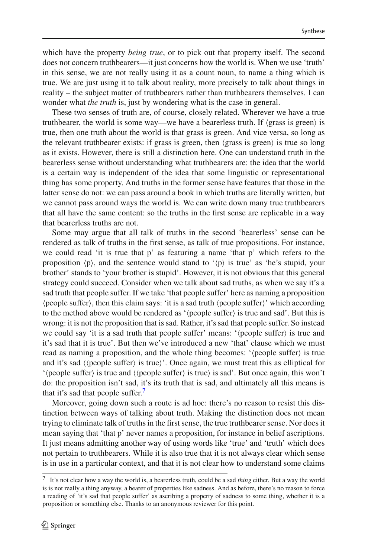which have the property *being true*, or to pick out that property itself. The second does not concern truthbearers—it just concerns how the world is. When we use 'truth' in this sense, we are not really using it as a count noun, to name a thing which is true. We are just using it to talk about reality, more precisely to talk about things in reality – the subject matter of truthbearers rather than truthbearers themselves. I can wonder what *the truth* is, just by wondering what is the case in general.

These two senses of truth are, of course, closely related. Wherever we have a true truthbearer, the world is some way—we have a bearerless truth. If  $\langle$ grass is green $\rangle$  is true, then one truth about the world is that grass is green. And vice versa, so long as the relevant truthbearer exists: if grass is green, then  $\langle$ grass is green $\rangle$  is true so long as it exists. However, there is still a distinction here. One can understand truth in the bearerless sense without understanding what truthbearers are: the idea that the world is a certain way is independent of the idea that some linguistic or representational thing has some property. And truths in the former sense have features that those in the latter sense do not: we can pass around a book in which truths are literally written, but we cannot pass around ways the world is. We can write down many true truthbearers that all have the same content: so the truths in the first sense are replicable in a way that bearerless truths are not.

Some may argue that all talk of truths in the second 'bearerless' sense can be rendered as talk of truths in the first sense, as talk of true propositions. For instance, we could read 'it is true that p' as featuring a name 'that p' which refers to the proposition  $\langle p \rangle$ , and the sentence would stand to  $\langle p \rangle$  is true' as 'he's stupid, your brother' stands to 'your brother is stupid'. However, it is not obvious that this general strategy could succeed. Consider when we talk about sad truths, as when we say it's a sad truth that people suffer. If we take 'that people suffer' here as naming a proposition (people suffer), then this claim says: 'it is a sad truth (people suffer)' which according to the method above would be rendered as ' $\langle$  people suffer $\rangle$  is true and sad'. But this is wrong: it is not the proposition that is sad. Rather, it's sad that people suffer. So instead we could say 'it is a sad truth that people suffer' means: '(people suffer) is true and it's sad that it is true'. But then we've introduced a new 'that' clause which we must read as naming a proposition, and the whole thing becomes: '(people suffer) is true and it's sad  $\langle$  (people suffer) is true $\rangle$ '. Once again, we must treat this as elliptical for '(people suffer) is true and  $\langle$  (people suffer) is true) is sad'. But once again, this won't do: the proposition isn't sad, it's its truth that is sad, and ultimately all this means is that it's sad that people suffer.

Moreover, going down such a route is ad hoc: there's no reason to resist this distinction between ways of talking about truth. Making the distinction does not mean trying to eliminate talk of truths in the first sense, the true truthbearer sense. Nor does it mean saying that 'that p' never names a proposition, for instance in belief ascriptions. It just means admitting another way of using words like 'true' and 'truth' which does not pertain to truthbearers. While it is also true that it is not always clear which sense is in use in a particular context, and that it is not clear how to understand some claims

<span id="page-5-0"></span><sup>7</sup> It's not clear how a way the world is, a bearerless truth, could be a sad *thing* either. But a way the world is is not really a thing anyway, a bearer of properties like sadness. And as before, there's no reason to force a reading of 'it's sad that people suffer' as ascribing a property of sadness to some thing, whether it is a proposition or something else. Thanks to an anonymous reviewer for this point.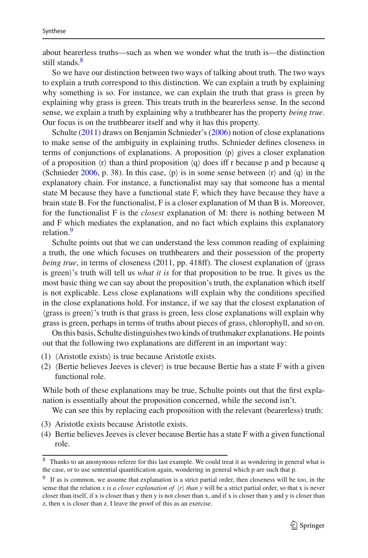about bearerless truths—such as when we wonder what the truth is—the distinction still stands.<sup>8</sup>

So we have our distinction between two ways of talking about truth. The two ways to explain a truth correspond to this distinction. We can explain a truth by explaining why something is so. For instance, we can explain the truth that grass is green by explaining why grass is green. This treats truth in the bearerless sense. In the second sense, we explain a truth by explaining why a truthbearer has the property *being true*. Our focus is on the truthbearer itself and why it has this property.

Schult[e](#page-24-4) [\(2011](#page-24-4)) draws on Benjamin Schnieder's [\(2006](#page-24-5)) notion of close explanations to make sense of the ambiguity in explaining truths. Schnieder defines closeness in terms of conjunctions of explanations. A proposition  $\langle p \rangle$  gives a closer explanation of a proposition  $\langle r \rangle$  than a third proposition  $\langle q \rangle$  does iff r because p and p because q (Schniede[r](#page-24-5) [2006,](#page-24-5) p. 38). In this case,  $\langle p \rangle$  is in some sense between  $\langle r \rangle$  and  $\langle q \rangle$  in the explanatory chain. For instance, a functionalist may say that someone has a mental state M because they have a functional state F, which they have because they have a brain state B. For the functionalist, F is a closer explanation of M than B is. Moreover, for the functionalist F is the *closest* explanation of M: there is nothing between M and F which mediates the explanation, and no fact which explains this explanatory relation<sup>[9](#page-6-1)</sup>

Schulte points out that we can understand the less common reading of explaining a truth, the one which focuses on truthbearers and their possession of the property being true, in terms of closeness (2011, pp. 418ff). The closest explanation of  $\langle$ grass is green)'s truth will tell us *what it is* for that proposition to be true. It gives us the most basic thing we can say about the proposition's truth, the explanation which itself is not explicable. Less close explanations will explain why the conditions specified in the close explanations hold. For instance, if we say that the closest explanation of (grass is green)'s truth is that grass is green, less close explanations will explain why grass is green, perhaps in terms of truths about pieces of grass, chlorophyll, and so on.

On this basis, Schulte distinguishes two kinds of truthmaker explanations. He points out that the following two explanations are different in an important way:

- (1)  $\langle$ Aristotle exists $\rangle$  is true because Aristotle exists.
- (2)  $\langle$  Bertie believes Jeeves is clever $\rangle$  is true because Bertie has a state F with a given functional role.

While both of these explanations may be true, Schulte points out that the first explanation is essentially about the proposition concerned, while the second isn't.

We can see this by replacing each proposition with the relevant (bearerless) truth:

- (3) Aristotle exists because Aristotle exists.
- (4) Bertie believes Jeeves is clever because Bertie has a state F with a given functional role.

<span id="page-6-0"></span><sup>8</sup> Thanks to an anonymous referee for this last example. We could treat it as wondering in general what is the case, or to use sentential quantification again, wondering in general which p are such that p.

<span id="page-6-1"></span><sup>&</sup>lt;sup>9</sup> If as is common, we assume that explanation is a strict partial order, then closeness will be too, in the sense that the relation *x* is a closer explanation of  $\langle r \rangle$  than y will be a strict partial order, so that *x* is never closer than itself, if x is closer than y then y is not closer than x, and if x is closer than y and y is closer than z, then x is closer than z. I leave the proof of this as an exercise.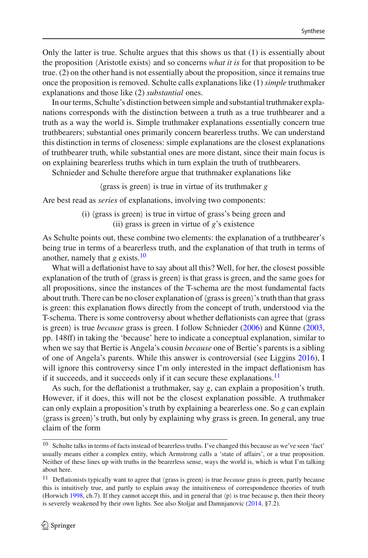Only the latter is true. Schulte argues that this shows us that (1) is essentially about the proposition  $\langle$ Aristotle exists $\rangle$  and so concerns *what it is* for that proposition to be true. (2) on the other hand is not essentially about the proposition, since it remains true once the proposition is removed. Schulte calls explanations like (1) *simple* truthmaker explanations and those like (2) *substantial* ones.

In our terms, Schulte's distinction between simple and substantial truthmaker explanations corresponds with the distinction between a truth as a true truthbearer and a truth as a way the world is. Simple truthmaker explanations essentially concern true truthbearers; substantial ones primarily concern bearerless truths. We can understand this distinction in terms of closeness: simple explanations are the closest explanations of truthbearer truth, while substantial ones are more distant, since their main focus is on explaining bearerless truths which in turn explain the truth of truthbearers.

Schnieder and Schulte therefore argue that truthmaker explanations like

 $\langle$ grass is green $\rangle$  is true in virtue of its truthmaker *g* 

Are best read as *series* of explanations, involving two components:

(i)  $\langle$  grass is green $\rangle$  is true in virtue of grass's being green and (ii) grass is green in virtue of *g*'s existence

As Schulte points out, these combine two elements: the explanation of a truthbearer's being true in terms of a bearerless truth, and the explanation of that truth in terms of another, namely that *g* exists.[10](#page-7-0)

What will a deflationist have to say about all this? Well, for her, the closest possible  $explanation of the truth of (grass is green) is that grass is green, and the same goes for$ all propositions, since the instances of the T-schema are the most fundamental facts about truth. There can be no closer explanation of (grass is green)'s truth than that grass is green: this explanation flows directly from the concept of truth, understood via the T-schema. There is some controversy about whether deflationists can agree that  $\langle$ grass is g[r](#page-24-5)een) is true *because* grass is green. I follow Schnieder [\(2006](#page-24-5)) and Künne [\(2003,](#page-23-10) pp. 148ff) in taking the 'because' here to indicate a conceptual explanation, similar to when we say that Bertie is Angela's cousin *because* one of Bertie's parents is a sibling of one of Angela's parents. While this answer is controversial (see Liggin[s](#page-23-11) [2016\)](#page-23-11), I will ignore this controversy since I'm only interested in the impact deflationism has if it succeeds, and it succeeds only if it can secure these explanations.<sup>[11](#page-7-1)</sup>

As such, for the deflationist a truthmaker, say *g*, can explain a proposition's truth. However, if it does, this will not be the closest explanation possible. A truthmaker can only explain a proposition's truth by explaining a bearerless one. So *g* can explain (grass is green)'s truth, but only by explaining why grass is green. In general, any true claim of the form

<span id="page-7-0"></span><sup>10</sup> Schulte talks in terms of facts instead of bearerless truths. I've changed this because as we've seen 'fact' usually means either a complex entity, which Armstrong calls a 'state of affairs', or a true proposition. Neither of these lines up with truths in the bearerless sense, ways the world is, which is what I'm talking about here.

<span id="page-7-1"></span><sup>&</sup>lt;sup>11</sup> Deflationists typically want to agree that  $\langle$ grass is green $\rangle$  is true *because* grass is green, partly because this is intuitively true, and partly to explain away the intuitiveness of correspondence theories of truth (Horwic[h](#page-23-8) [1998](#page-23-8), ch.7). If they cannot accept this, and in general that  $\langle p \rangle$  is true because p, then their theory is severely weakened by their own lights. See also Stoljar and Damnjanovic  $(2014, §7.2)$  $(2014, §7.2)$ .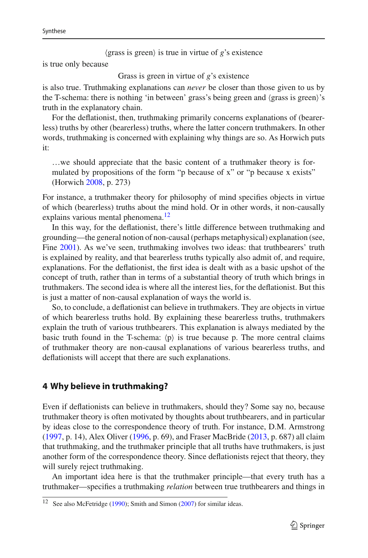$\langle$ grass is green $\rangle$  is true in virtue of *g*'s existence

is true only because

Grass is green in virtue of *g*'s existence

is also true. Truthmaking explanations can *never* be closer than those given to us by the T-schema: there is nothing 'in between' grass's being green and  $\langle$ grass is green $\rangle$ 's truth in the explanatory chain.

For the deflationist, then, truthmaking primarily concerns explanations of (bearerless) truths by other (bearerless) truths, where the latter concern truthmakers. In other words, truthmaking is concerned with explaining why things are so. As Horwich puts it:

…we should appreciate that the basic content of a truthmaker theory is formulated by propositions of the form "p because of x" or "p because x exists" (Horwic[h](#page-23-2) [2008,](#page-23-2) p. 273)

For instance, a truthmaker theory for philosophy of mind specifies objects in virtue of which (bearerless) truths about the mind hold. Or in other words, it non-causally explains various mental phenomena.<sup>[12](#page-8-0)</sup>

In this way, for the deflationist, there's little difference between truthmaking and grounding—the general notion of non-causal (perhaps metaphysical) explanation (see, Fin[e](#page-23-12) [2001](#page-23-12)). As we've seen, truthmaking involves two ideas: that truthbearers' truth is explained by reality, and that bearerless truths typically also admit of, and require, explanations. For the deflationist, the first idea is dealt with as a basic upshot of the concept of truth, rather than in terms of a substantial theory of truth which brings in truthmakers. The second idea is where all the interest lies, for the deflationist. But this is just a matter of non-causal explanation of ways the world is.

So, to conclude, a deflationist can believe in truthmakers. They are objects in virtue of which bearerless truths hold. By explaining these bearerless truths, truthmakers explain the truth of various truthbearers. This explanation is always mediated by the basic truth found in the T-schema:  $\langle p \rangle$  is true because p. The more central claims of truthmaker theory are non-causal explanations of various bearerless truths, and deflationists will accept that there are such explanations.

### <span id="page-8-1"></span>**4 Why believe in truthmaking?**

Even if deflationists can believe in truthmakers, should they? Some say no, because truthmaker theory is often motivated by thoughts about truthbearers, and in particular by ideas close to the correspondence theory of truth. For instance, D.M. Armstrong [\(1997,](#page-23-4) p. 14), Alex Oliver [\(1996](#page-23-13), p. 69), and Fraser MacBride [\(2013](#page-23-3), p. 687) all claim that truthmaking, and the truthmaker principle that all truths have truthmakers, is just another form of the correspondence theory. Since deflationists reject that theory, they will surely reject truthmaking.

An important idea here is that the truthmaker principle—that every truth has a truthmaker—specifies a truthmaking *relation* between true truthbearers and things in

<span id="page-8-0"></span><sup>&</sup>lt;sup>12</sup> S[e](#page-23-14)e also McFetridge [\(1990](#page-23-14)); Smith a[n](#page-24-7)d Simon [\(2007](#page-24-7)) for similar ideas.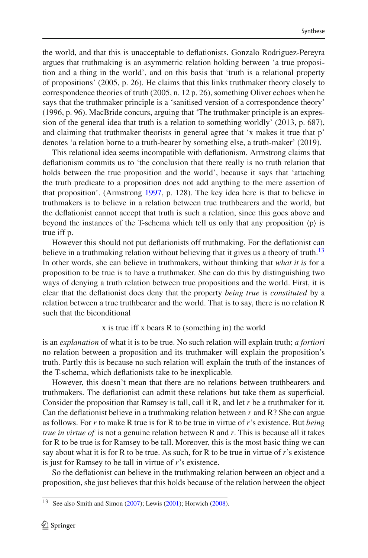the world, and that this is unacceptable to deflationists. Gonzalo Rodriguez-Pereyra argues that truthmaking is an asymmetric relation holding between 'a true proposition and a thing in the world', and on this basis that 'truth is a relational property of propositions' (2005, p. 26). He claims that this links truthmaker theory closely to correspondence theories of truth (2005, n. 12 p. 26), something Oliver echoes when he says that the truthmaker principle is a 'sanitised version of a correspondence theory' (1996, p. 96). MacBride concurs, arguing that 'The truthmaker principle is an expression of the general idea that truth is a relation to something worldly' (2013, p. 687), and claiming that truthmaker theorists in general agree that 'x makes it true that p' denotes 'a relation borne to a truth-bearer by something else, a truth-maker' (2019).

This relational idea seems incompatible with deflationism. Armstrong claims that deflationism commits us to 'the conclusion that there really is no truth relation that holds between the true proposition and the world', because it says that 'attaching the truth predicate to a proposition does not add anything to the mere assertion of that proposition'. (Armstron[g](#page-23-4) [1997,](#page-23-4) p. 128). The key idea here is that to believe in truthmakers is to believe in a relation between true truthbearers and the world, but the deflationist cannot accept that truth is such a relation, since this goes above and beyond the instances of the T-schema which tell us only that any proposition  $\langle p \rangle$  is true iff p.

However this should not put deflationists off truthmaking. For the deflationist can believe in a truthmaking relation without believing that it gives us a theory of truth.<sup>13</sup> In other words, she can believe in truthmakers, without thinking that *what it is* for a proposition to be true is to have a truthmaker. She can do this by distinguishing two ways of denying a truth relation between true propositions and the world. First, it is clear that the deflationist does deny that the property *being true* is *constituted* by a relation between a true truthbearer and the world. That is to say, there is no relation R such that the biconditional

#### x is true iff x bears R to (something in) the world

is an *explanation* of what it is to be true. No such relation will explain truth; *a fortiori* no relation between a proposition and its truthmaker will explain the proposition's truth. Partly this is because no such relation will explain the truth of the instances of the T-schema, which deflationists take to be inexplicable.

However, this doesn't mean that there are no relations between truthbearers and truthmakers. The deflationist can admit these relations but take them as superficial. Consider the proposition that Ramsey is tall, call it R, and let *r* be a truthmaker for it. Can the deflationist believe in a truthmaking relation between *r* and R? She can argue as follows. For *r* to make R true is for R to be true in virtue of *r*'s existence. But *being true in virtue of* is not a genuine relation between R and *r*. This is because all it takes for R to be true is for Ramsey to be tall. Moreover, this is the most basic thing we can say about what it is for R to be true. As such, for R to be true in virtue of *r*'s existence is just for Ramsey to be tall in virtue of *r*'s existence.

So the deflationist can believe in the truthmaking relation between an object and a proposition, she just believes that this holds because of the relation between the object

<span id="page-9-0"></span>See also Smith a[n](#page-24-7)d Simon [\(2007](#page-24-7)); Lewi[s](#page-23-1) [\(2001](#page-23-1)); Horwic[h](#page-23-2) [\(2008](#page-23-2)).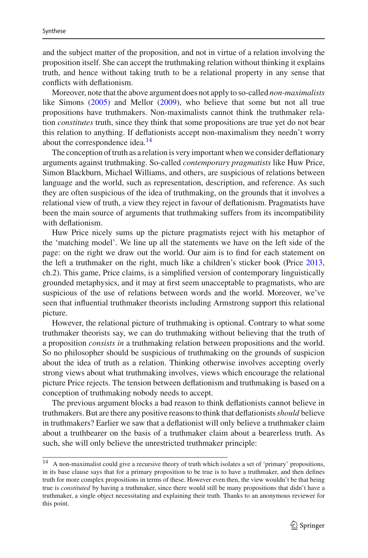and the subject matter of the proposition, and not in virtue of a relation involving the proposition itself. She can accept the truthmaking relation without thinking it explains truth, and hence without taking truth to be a relational property in any sense that conflicts with deflationism.

Moreover, note that the above argument does not apply to so-called *non-maximalists* like Simon[s](#page-24-8) [\(2005](#page-24-8)) and Mello[r](#page-23-15) [\(2009](#page-23-15)), who believe that some but not all true propositions have truthmakers. Non-maximalists cannot think the truthmaker relation *constitutes* truth, since they think that some propositions are true yet do not bear this relation to anything. If deflationists accept non-maximalism they needn't worry about the correspondence idea.<sup>[14](#page-10-0)</sup>

The conception of truth as a relation is very important when we consider deflationary arguments against truthmaking. So-called *contemporary pragmatists* like Huw Price, Simon Blackburn, Michael Williams, and others, are suspicious of relations between language and the world, such as representation, description, and reference. As such they are often suspicious of the idea of truthmaking, on the grounds that it involves a relational view of truth, a view they reject in favour of deflationism. Pragmatists have been the main source of arguments that truthmaking suffers from its incompatibility with deflationism.

Huw Price nicely sums up the picture pragmatists reject with his metaphor of the 'matching model'. We line up all the statements we have on the left side of the page: on the right we draw out the world. Our aim is to find for each statement on the left a truthmaker on the right, much like a children's sticker book (Pric[e](#page-24-0) [2013,](#page-24-0) ch.2). This game, Price claims, is a simplified version of contemporary linguistically grounded metaphysics, and it may at first seem unacceptable to pragmatists, who are suspicious of the use of relations between words and the world. Moreover, we've seen that influential truthmaker theorists including Armstrong support this relational picture.

However, the relational picture of truthmaking is optional. Contrary to what some truthmaker theorists say, we can do truthmaking without believing that the truth of a proposition *consists in* a truthmaking relation between propositions and the world. So no philosopher should be suspicious of truthmaking on the grounds of suspicion about the idea of truth as a relation. Thinking otherwise involves accepting overly strong views about what truthmaking involves, views which encourage the relational picture Price rejects. The tension between deflationism and truthmaking is based on a conception of truthmaking nobody needs to accept.

The previous argument blocks a bad reason to think deflationists cannot believe in truthmakers. But are there any positive reasons to think that deflationists*should* believe in truthmakers? Earlier we saw that a deflationist will only believe a truthmaker claim about a truthbearer on the basis of a truthmaker claim about a bearerless truth. As such, she will only believe the unrestricted truthmaker principle:

<span id="page-10-0"></span><sup>&</sup>lt;sup>14</sup> A non-maximalist could give a recursive theory of truth which isolates a set of 'primary' propositions, in its base clause says that for a primary proposition to be true is to have a truthmaker, and then defines truth for more complex propositions in terms of these. However even then, the view wouldn't be that being true is *constituted* by having a truthmaker, since there would still be many propositions that didn't have a truthmaker, a single object necessitating and explaining their truth. Thanks to an anonymous reviewer for this point.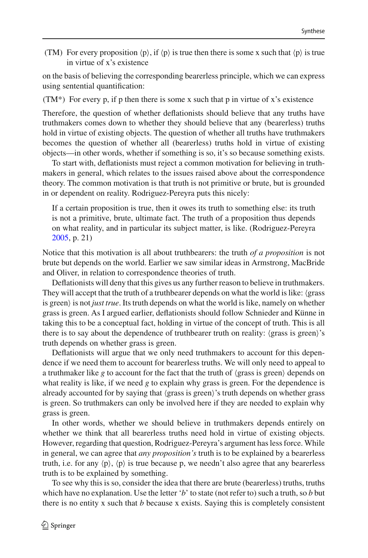(TM) For every proposition  $\langle p \rangle$ , if  $\langle p \rangle$  is true then there is some x such that  $\langle p \rangle$  is true in virtue of x's existence

on the basis of believing the corresponding bearerless principle, which we can express using sentential quantification:

(TM\*) For every p, if p then there is some x such that p in virtue of x's existence

Therefore, the question of whether deflationists should believe that any truths have truthmakers comes down to whether they should believe that any (bearerless) truths hold in virtue of existing objects. The question of whether all truths have truthmakers becomes the question of whether all (bearerless) truths hold in virtue of existing objects—in other words, whether if something is so, it's so because something exists.

To start with, deflationists must reject a common motivation for believing in truthmakers in general, which relates to the issues raised above about the correspondence theory. The common motivation is that truth is not primitive or brute, but is grounded in or dependent on reality. Rodriguez-Pereyra puts this nicely:

If a certain proposition is true, then it owes its truth to something else: its truth is not a primitive, brute, ultimate fact. The truth of a proposition thus depends on what reality, and in particular its subject matter, is like. (Rodriguez-Pereyr[a](#page-24-9) [2005,](#page-24-9) p. 21)

Notice that this motivation is all about truthbearers: the truth *of a proposition* is not brute but depends on the world. Earlier we saw similar ideas in Armstrong, MacBride and Oliver, in relation to correspondence theories of truth.

Deflationists will deny that this gives us any further reason to believe in truthmakers. They will accept that the truth of a truthbearer depends on what the world is like:  $\langle$  grass is green) is not *just true*. Its truth depends on what the world is like, namely on whether grass is green. As I argued earlier, deflationists should follow Schnieder and Künne in taking this to be a conceptual fact, holding in virtue of the concept of truth. This is all there is to say about the dependence of truthbearer truth on reality:  $\langle$ grass is green $\rangle$ 's truth depends on whether grass is green.

Deflationists will argue that we only need truthmakers to account for this dependence if we need them to account for bearerless truths. We will only need to appeal to a truthmaker like *g* to account for the fact that the truth of  $\langle$ grass is green $\rangle$  depends on what reality is like, if we need *g* to explain why grass is green. For the dependence is already accounted for by saying that (grass is green)'s truth depends on whether grass is green. So truthmakers can only be involved here if they are needed to explain why grass is green.

In other words, whether we should believe in truthmakers depends entirely on whether we think that all bearerless truths need hold in virtue of existing objects. However, regarding that question, Rodriguez-Pereyra's argument has less force. While in general, we can agree that *any proposition's* truth is to be explained by a bearerless truth, i.e. for any  $\langle p \rangle$ ,  $\langle p \rangle$  is true because p, we needn't also agree that any bearerless truth is to be explained by something.

To see why this is so, consider the idea that there are brute (bearerless) truths, truths which have no explanation. Use the letter '*b*' to state (not refer to) such a truth, so *b* but there is no entity x such that *b* because x exists. Saying this is completely consistent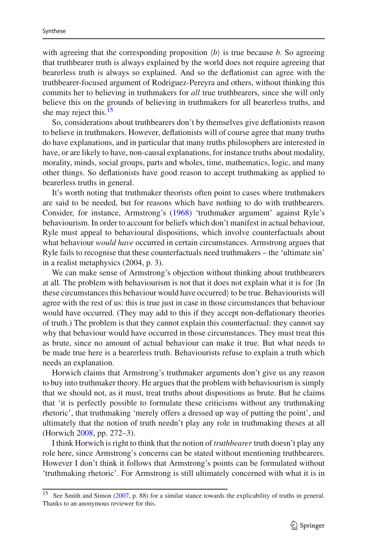with agreeing that the corresponding proposition  $\langle b \rangle$  is true because *b*. So agreeing that truthbearer truth is always explained by the world does not require agreeing that bearerless truth is always so explained. And so the deflationist can agree with the truthbearer-focused argument of Rodriguez-Pereyra and others, without thinking this commits her to believing in truthmakers for *all* true truthbearers, since she will only believe this on the grounds of believing in truthmakers for all bearerless truths, and she may reject this.<sup>[15](#page-12-0)</sup>

So, considerations about truthbearers don't by themselves give deflationists reason to believe in truthmakers. However, deflationists will of course agree that many truths do have explanations, and in particular that many truths philosophers are interested in have, or are likely to have, non-causal explanations, for instance truths about modality, morality, minds, social groups, parts and wholes, time, mathematics, logic, and many other things. So deflationists have good reason to accept truthmaking as applied to bearerless truths in general.

It's worth noting that truthmaker theorists often point to cases where truthmakers are said to be needed, but for reasons which have nothing to do with truthbearers. Consider, for instance, Armstrong's [\(1968\)](#page-23-16) 'truthmaker argument' against Ryle's behaviourism. In order to account for beliefs which don't manifest in actual behaviour, Ryle must appeal to behavioural dispositions, which involve counterfactuals about what behaviour *would have* occurred in certain circumstances. Armstrong argues that Ryle fails to recognise that these counterfactuals need truthmakers – the 'ultimate sin' in a realist metaphysics (2004, p. 3).

We can make sense of Armstrong's objection without thinking about truthbearers at all. The problem with behaviourism is not that it does not explain what it is for  $\langle \text{In} \rangle$ these circumstances this behaviour would have occurred to be true. Behaviourists will agree with the rest of us: this is true just in case in those circumstances that behaviour would have occurred. (They may add to this if they accept non-deflationary theories of truth.) The problem is that they cannot explain this counterfactual: they cannot say why that behaviour would have occurred in those circumstances. They must treat this as brute, since no amount of actual behaviour can make it true. But what needs to be made true here is a bearerless truth. Behaviourists refuse to explain a truth which needs an explanation.

Horwich claims that Armstrong's truthmaker arguments don't give us any reason to buy into truthmaker theory. He argues that the problem with behaviourism is simply that we should not, as it must, treat truths about dispositions as brute. But he claims that 'it is perfectly possible to formulate these criticisms without any truthmaking rhetoric', that truthmaking 'merely offers a dressed up way of putting the point', and ultimately that the notion of truth needn't play any role in truthmaking theses at all (Horwic[h](#page-23-2) [2008](#page-23-2), pp. 272–3).

I think Horwich is right to think that the notion of *truthbearer* truth doesn't play any role here, since Armstrong's concerns can be stated without mentioning truthbearers. However I don't think it follows that Armstrong's points can be formulated without 'truthmaking rhetoric'. For Armstrong is still ultimately concerned with what it is in

<span id="page-12-0"></span><sup>15</sup> See Smith and Simon [\(2007](#page-24-7), p. 88) for a similar stance towards the explicability of truths in general. Thanks to an anonymous reviewer for this.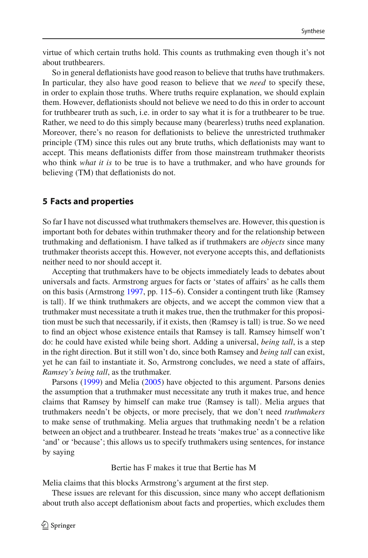virtue of which certain truths hold. This counts as truthmaking even though it's not about truthbearers.

So in general deflationists have good reason to believe that truths have truthmakers. In particular, they also have good reason to believe that we *need* to specify these, in order to explain those truths. Where truths require explanation, we should explain them. However, deflationists should not believe we need to do this in order to account for truthbearer truth as such, i.e. in order to say what it is for a truthbearer to be true. Rather, we need to do this simply because many (bearerless) truths need explanation. Moreover, there's no reason for deflationists to believe the unrestricted truthmaker principle (TM) since this rules out any brute truths, which deflationists may want to accept. This means deflationists differ from those mainstream truthmaker theorists who think *what it is* to be true is to have a truthmaker, and who have grounds for believing (TM) that deflationists do not.

#### <span id="page-13-0"></span>**5 Facts and properties**

So far I have not discussed what truthmakers themselves are. However, this question is important both for debates within truthmaker theory and for the relationship between truthmaking and deflationism. I have talked as if truthmakers are *objects* since many truthmaker theorists accept this. However, not everyone accepts this, and deflationists neither need to nor should accept it.

Accepting that truthmakers have to be objects immediately leads to debates about universals and facts. Armstrong argues for facts or 'states of affairs' as he calls them on this basis (Armstron[g](#page-23-4) [1997](#page-23-4), pp. 115–6). Consider a contingent truth like (Ramsey is tall). If we think truthmakers are objects, and we accept the common view that a truthmaker must necessitate a truth it makes true, then the truthmaker for this proposition must be such that necessarily, if it exists, then  $\langle$ Ramsey is tall $\rangle$  is true. So we need to find an object whose existence entails that Ramsey is tall. Ramsey himself won't do: he could have existed while being short. Adding a universal, *being tall*, is a step in the right direction. But it still won't do, since both Ramsey and *being tall* can exist, yet he can fail to instantiate it. So, Armstrong concludes, we need a state of affairs, *Ramsey's being tall*, as the truthmaker.

Parson[s](#page-24-10) [\(1999](#page-24-10)) and Meli[a](#page-23-17) [\(2005\)](#page-23-17) have objected to this argument. Parsons denies the assumption that a truthmaker must necessitate any truth it makes true, and hence claims that Ramsey by himself can make true (Ramsey is tall). Melia argues that truthmakers needn't be objects, or more precisely, that we don't need *truthmakers* to make sense of truthmaking. Melia argues that truthmaking needn't be a relation between an object and a truthbearer. Instead he treats 'makes true' as a connective like 'and' or 'because'; this allows us to specify truthmakers using sentences, for instance by saying

#### Bertie has F makes it true that Bertie has M

Melia claims that this blocks Armstrong's argument at the first step.

These issues are relevant for this discussion, since many who accept deflationism about truth also accept deflationism about facts and properties, which excludes them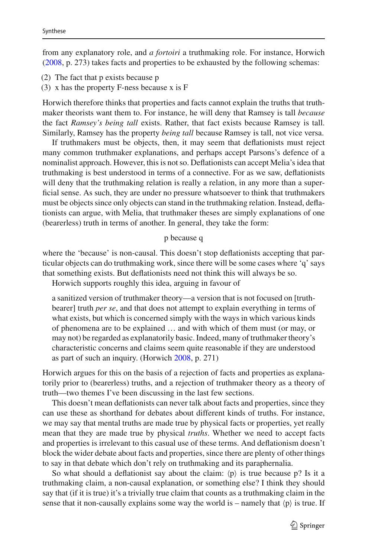from any explanatory role, and *a fortoiri* a truthmaking role. For instance, Horwich [\(2008,](#page-23-2) p. 273) takes facts and properties to be exhausted by the following schemas:

(2) The fact that p exists because p

(3) x has the property F-ness because x is F

Horwich therefore thinks that properties and facts cannot explain the truths that truthmaker theorists want them to. For instance, he will deny that Ramsey is tall *because* the fact *Ramsey's being tall* exists. Rather, that fact exists because Ramsey is tall. Similarly, Ramsey has the property *being tall* because Ramsey is tall, not vice versa.

If truthmakers must be objects, then, it may seem that deflationists must reject many common truthmaker explanations, and perhaps accept Parsons's defence of a nominalist approach. However, this is not so. Deflationists can accept Melia's idea that truthmaking is best understood in terms of a connective. For as we saw, deflationists will deny that the truthmaking relation is really a relation, in any more than a superficial sense. As such, they are under no pressure whatsoever to think that truthmakers must be objects since only objects can stand in the truthmaking relation. Instead, deflationists can argue, with Melia, that truthmaker theses are simply explanations of one (bearerless) truth in terms of another. In general, they take the form:

#### p because q

where the 'because' is non-causal. This doesn't stop deflationists accepting that particular objects can do truthmaking work, since there will be some cases where 'q' says that something exists. But deflationists need not think this will always be so.

Horwich supports roughly this idea, arguing in favour of

a sanitized version of truthmaker theory—a version that is not focused on [truthbearer] truth *per se*, and that does not attempt to explain everything in terms of what exists, but which is concerned simply with the ways in which various kinds of phenomena are to be explained … and with which of them must (or may, or may not) be regarded as explanatorily basic. Indeed, many of truthmaker theory's characteristic concerns and claims seem quite reasonable if they are understood as part of such an inquiry. (Horwic[h](#page-23-2) [2008,](#page-23-2) p. 271)

Horwich argues for this on the basis of a rejection of facts and properties as explanatorily prior to (bearerless) truths, and a rejection of truthmaker theory as a theory of truth—two themes I've been discussing in the last few sections.

This doesn't mean deflationists can never talk about facts and properties, since they can use these as shorthand for debates about different kinds of truths. For instance, we may say that mental truths are made true by physical facts or properties, yet really mean that they are made true by physical *truths*. Whether we need to accept facts and properties is irrelevant to this casual use of these terms. And deflationism doesn't block the wider debate about facts and properties, since there are plenty of other things to say in that debate which don't rely on truthmaking and its paraphernalia.

So what should a deflationist say about the claim:  $\langle p \rangle$  is true because p? Is it a truthmaking claim, a non-causal explanation, or something else? I think they should say that (if it is true) it's a trivially true claim that counts as a truthmaking claim in the sense that it non-causally explains some way the world is – namely that  $\langle p \rangle$  is true. If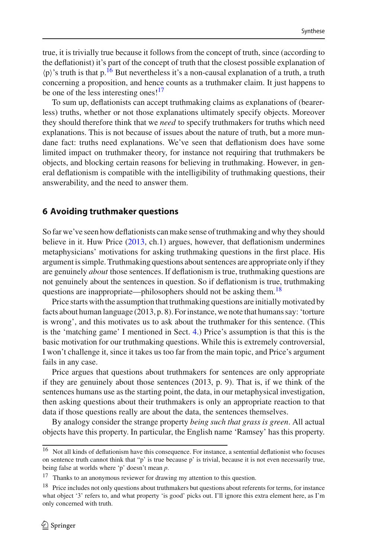true, it is trivially true because it follows from the concept of truth, since (according to the deflationist) it's part of the concept of truth that the closest possible explanation of  $\langle p \rangle$ 's truth is that  $p^{16}$  $p^{16}$  $p^{16}$  But nevertheless it's a non-causal explanation of a truth, a truth concerning a proposition, and hence counts as a truthmaker claim. It just happens to be one of the less interesting ones!<sup>[17](#page-15-2)</sup>

To sum up, deflationists can accept truthmaking claims as explanations of (bearerless) truths, whether or not those explanations ultimately specify objects. Moreover they should therefore think that we *need* to specify truthmakers for truths which need explanations. This is not because of issues about the nature of truth, but a more mundane fact: truths need explanations. We've seen that deflationism does have some limited impact on truthmaker theory, for instance not requiring that truthmakers be objects, and blocking certain reasons for believing in truthmaking. However, in general deflationism is compatible with the intelligibility of truthmaking questions, their answerability, and the need to answer them.

#### <span id="page-15-0"></span>**6 Avoiding truthmaker questions**

So far we've seen how deflationists can make sense of truthmaking and why they should believe in it. Huw Price [\(2013,](#page-24-0) ch.1) argues, however, that deflationism undermines metaphysicians' motivations for asking truthmaking questions in the first place. His argument is simple. Truthmaking questions about sentences are appropriate only if they are genuinely *about* those sentences. If deflationism is true, truthmaking questions are not genuinely about the sentences in question. So if deflationism is true, truthmaking questions are inappropriate—philosophers should not be asking them.<sup>[18](#page-15-3)</sup>

Price starts with the assumption that truthmaking questions are initially motivated by facts about human language (2013, p. 8). For instance, we note that humans say: 'torture is wrong', and this motivates us to ask about the truthmaker for this sentence. (This is the 'matching game' I mentioned in Sect. [4.](#page-8-1)) Price's assumption is that this is the basic motivation for our truthmaking questions. While this is extremely controversial, I won't challenge it, since it takes us too far from the main topic, and Price's argument fails in any case.

Price argues that questions about truthmakers for sentences are only appropriate if they are genuinely about those sentences (2013, p. 9). That is, if we think of the sentences humans use as the starting point, the data, in our metaphysical investigation, then asking questions about their truthmakers is only an appropriate reaction to that data if those questions really are about the data, the sentences themselves.

By analogy consider the strange property *being such that grass is green*. All actual objects have this property. In particular, the English name 'Ramsey' has this property.

<span id="page-15-1"></span><sup>&</sup>lt;sup>16</sup> Not all kinds of deflationism have this consequence. For instance, a sentential deflationist who focuses on sentence truth cannot think that "p' is true because p' is trivial, because it is not even necessarily true, being false at worlds where 'p' doesn't mean *p*.

<span id="page-15-2"></span><sup>&</sup>lt;sup>17</sup> Thanks to an anonymous reviewer for drawing my attention to this question.

<span id="page-15-3"></span><sup>&</sup>lt;sup>18</sup> Price includes not only questions about truthmakers but questions about referents for terms, for instance what object '3' refers to, and what property 'is good' picks out. I'll ignore this extra element here, as I'm only concerned with truth.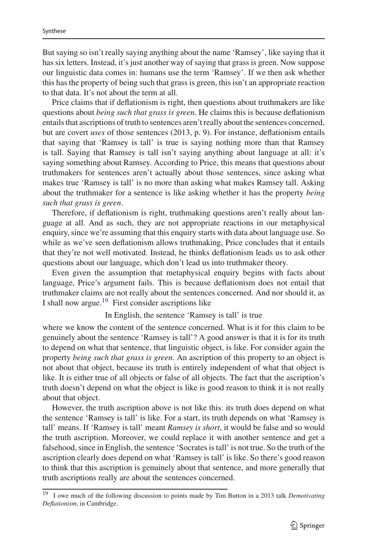But saying so isn't really saying anything about the name 'Ramsey', like saying that it has six letters. Instead, it's just another way of saying that grass is green. Now suppose our linguistic data comes in: humans use the term 'Ramsey'. If we then ask whether this has the property of being such that grass is green, this isn't an appropriate reaction to that data. It's not about the term at all.

Price claims that if deflationism is right, then questions about truthmakers are like questions about *being such that grass is green*. He claims this is because deflationism entails that ascriptions of truth to sentences aren't really about the sentences concerned, but are covert *uses* of those sentences (2013, p. 9). For instance, deflationism entails that saying that 'Ramsey is tall' is true is saying nothing more than that Ramsey is tall. Saying that Ramsey is tall isn't saying anything about language at all: it's saying something about Ramsey. According to Price, this means that questions about truthmakers for sentences aren't actually about those sentences, since asking what makes true 'Ramsey is tall' is no more than asking what makes Ramsey tall. Asking about the truthmaker for a sentence is like asking whether it has the property *being such that grass is green*.

Therefore, if deflationism is right, truthmaking questions aren't really about language at all. And as such, they are not appropriate reactions in our metaphysical enquiry, since we're assuming that this enquiry starts with data about language use. So while as we've seen deflationism allows truthmaking, Price concludes that it entails that they're not well motivated. Instead, he thinks deflationism leads us to ask other questions about our language, which don't lead us into truthmaker theory.

Even given the assumption that metaphysical enquiry begins with facts about language, Price's argument fails. This is because deflationism does not entail that truthmaker claims are not really about the sentences concerned. And nor should it, as I shall now argue.<sup>19</sup> First consider ascriptions like

In English, the sentence 'Ramsey is tall' is true

where we know the content of the sentence concerned. What is it for this claim to be genuinely about the sentence 'Ramsey is tall'? A good answer is that it is for its truth to depend on what that sentence, that linguistic object, is like. For consider again the property *being such that grass is green*. An ascription of this property to an object is not about that object, because its truth is entirely independent of what that object is like. It is either true of all objects or false of all objects. The fact that the ascription's truth doesn't depend on what the object is like is good reason to think it is not really about that object.

However, the truth ascription above is not like this: its truth does depend on what the sentence 'Ramsey is tall' is like. For a start, its truth depends on what 'Ramsey is tall' means. If 'Ramsey is tall' meant *Ramsey is short*, it would be false and so would the truth ascription. Moreover, we could replace it with another sentence and get a falsehood, since in English, the sentence 'Socrates is tall' is not true. So the truth of the ascription clearly does depend on what 'Ramsey is tall' is like. So there's good reason to think that this ascription is genuinely about that sentence, and more generally that truth ascriptions really are about the sentences concerned.

<span id="page-16-0"></span><sup>19</sup> I owe much of the following discussion to points made by Tim Button in a 2013 talk *Demotivating Deflationism*, in Cambridge.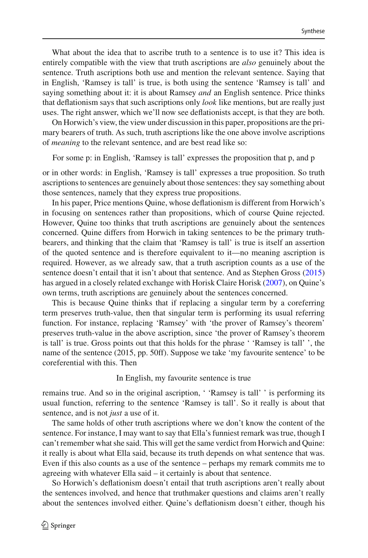What about the idea that to ascribe truth to a sentence is to use it? This idea is entirely compatible with the view that truth ascriptions are *also* genuinely about the sentence. Truth ascriptions both use and mention the relevant sentence. Saying that in English, 'Ramsey is tall' is true, is both using the sentence 'Ramsey is tall' and saying something about it: it is about Ramsey *and* an English sentence. Price thinks that deflationism says that such ascriptions only *look* like mentions, but are really just uses. The right answer, which we'll now see deflationists accept, is that they are both.

On Horwich's view, the view under discussion in this paper, propositions are the primary bearers of truth. As such, truth ascriptions like the one above involve ascriptions of *meaning* to the relevant sentence, and are best read like so:

For some p: in English, 'Ramsey is tall' expresses the proposition that p, and p

or in other words: in English, 'Ramsey is tall' expresses a true proposition. So truth ascriptions to sentences are genuinely about those sentences: they say something about those sentences, namely that they express true propositions.

In his paper, Price mentions Quine, whose deflationism is different from Horwich's in focusing on sentences rather than propositions, which of course Quine rejected. However, Quine too thinks that truth ascriptions are genuinely about the sentences concerned. Quine differs from Horwich in taking sentences to be the primary truthbearers, and thinking that the claim that 'Ramsey is tall' is true is itself an assertion of the quoted sentence and is therefore equivalent to it—no meaning ascription is required. However, as we already saw, that a truth ascription counts as a use of the sentence doesn't entail that it isn't about that sentence. And as Stephen Gros[s](#page-23-18) [\(2015\)](#page-23-18) has argued in a closely related exchange with Horisk Claire Horisk [\(2007](#page-23-19)), on Quine's own terms, truth ascriptions are genuinely about the sentences concerned.

This is because Quine thinks that if replacing a singular term by a coreferring term preserves truth-value, then that singular term is performing its usual referring function. For instance, replacing 'Ramsey' with 'the prover of Ramsey's theorem' preserves truth-value in the above ascription, since 'the prover of Ramsey's theorem is tall' is true. Gross points out that this holds for the phrase ' 'Ramsey is tall' ', the name of the sentence (2015, pp. 50ff). Suppose we take 'my favourite sentence' to be coreferential with this. Then

In English, my favourite sentence is true

remains true. And so in the original ascription, ' 'Ramsey is tall' ' is performing its usual function, referring to the sentence 'Ramsey is tall'. So it really is about that sentence, and is not *just* a use of it.

The same holds of other truth ascriptions where we don't know the content of the sentence. For instance, I may want to say that Ella's funniest remark was true, though I can't remember what she said. This will get the same verdict from Horwich and Quine: it really is about what Ella said, because its truth depends on what sentence that was. Even if this also counts as a use of the sentence – perhaps my remark commits me to agreeing with whatever Ella said – it certainly is about that sentence.

So Horwich's deflationism doesn't entail that truth ascriptions aren't really about the sentences involved, and hence that truthmaker questions and claims aren't really about the sentences involved either. Quine's deflationism doesn't either, though his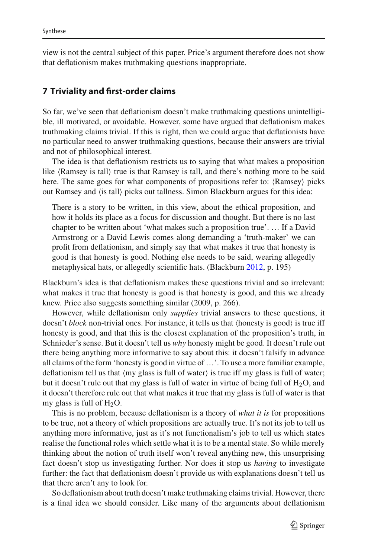view is not the central subject of this paper. Price's argument therefore does not show that deflationism makes truthmaking questions inappropriate.

### <span id="page-18-0"></span>**7 Triviality and first-order claims**

So far, we've seen that deflationism doesn't make truthmaking questions unintelligible, ill motivated, or avoidable. However, some have argued that deflationism makes truthmaking claims trivial. If this is right, then we could argue that deflationists have no particular need to answer truthmaking questions, because their answers are trivial and not of philosophical interest.

The idea is that deflationism restricts us to saying that what makes a proposition like (Ramsey is tall) true is that Ramsey is tall, and there's nothing more to be said here. The same goes for what components of propositions refer to:  $\langle Ramsey\rangle$  picks out Ramsey and  $\langle$  is tall $\rangle$  picks out tallness. Simon Blackburn argues for this idea:

There is a story to be written, in this view, about the ethical proposition, and how it holds its place as a focus for discussion and thought. But there is no last chapter to be written about 'what makes such a proposition true'. … If a David Armstrong or a David Lewis comes along demanding a 'truth-maker' we can profit from deflationism, and simply say that what makes it true that honesty is good is that honesty is good. Nothing else needs to be said, wearing allegedly metaphysical hats, or allegedly scientific hats. (Blackbur[n](#page-23-5) [2012](#page-23-5), p. 195)

Blackburn's idea is that deflationism makes these questions trivial and so irrelevant: what makes it true that honesty is good is that honesty is good, and this we already knew. Price also suggests something similar (2009, p. 266).

However, while deflationism only *supplies* trivial answers to these questions, it doesn't *block* non-trivial ones. For instance, it tells us that  $\langle$  honesty is good $\rangle$  is true iff honesty is good, and that this is the closest explanation of the proposition's truth, in Schnieder's sense. But it doesn't tell us *why* honesty might be good. It doesn't rule out there being anything more informative to say about this: it doesn't falsify in advance all claims of the form 'honesty is good in virtue of …'. To use a more familiar example, deflationism tell us that  $\langle$ my glass is full of water $\rangle$  is true iff my glass is full of water; but it doesn't rule out that my glass is full of water in virtue of being full of  $H_2O$ , and it doesn't therefore rule out that what makes it true that my glass is full of water is that my glass is full of  $H_2O$ .

This is no problem, because deflationism is a theory of *what it is* for propositions to be true, not a theory of which propositions are actually true. It's not its job to tell us anything more informative, just as it's not functionalism's job to tell us which states realise the functional roles which settle what it is to be a mental state. So while merely thinking about the notion of truth itself won't reveal anything new, this unsurprising fact doesn't stop us investigating further. Nor does it stop us *having* to investigate further: the fact that deflationism doesn't provide us with explanations doesn't tell us that there aren't any to look for.

So deflationism about truth doesn't make truthmaking claims trivial. However, there is a final idea we should consider. Like many of the arguments about deflationism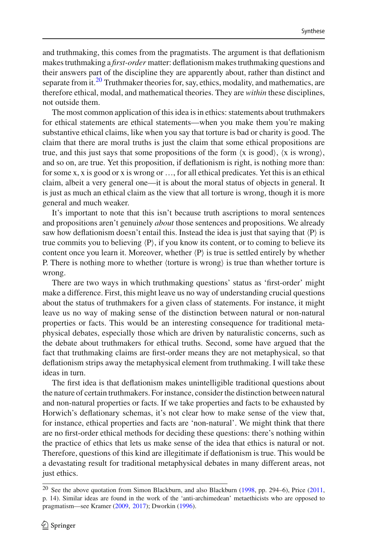and truthmaking, this comes from the pragmatists. The argument is that deflationism makes truthmaking a *first-order* matter: deflationism makes truthmaking questions and their answers part of the discipline they are apparently about, rather than distinct and separate from it.<sup>[20](#page-19-0)</sup> Truthmaker theories for, say, ethics, modality, and mathematics, are therefore ethical, modal, and mathematical theories. They are *within* these disciplines, not outside them.

The most common application of this idea is in ethics: statements about truthmakers for ethical statements are ethical statements—when you make them you're making substantive ethical claims, like when you say that torture is bad or charity is good. The claim that there are moral truths is just the claim that some ethical propositions are true, and this just says that some propositions of the form  $\langle x \text{ is good} \rangle$ ,  $\langle x \text{ is wrong} \rangle$ , and so on, are true. Yet this proposition, if deflationism is right, is nothing more than: for some x, x is good or x is wrong or …, for all ethical predicates. Yet this is an ethical claim, albeit a very general one—it is about the moral status of objects in general. It is just as much an ethical claim as the view that all torture is wrong, though it is more general and much weaker.

It's important to note that this isn't because truth ascriptions to moral sentences and propositions aren't genuinely *about* those sentences and propositions. We already saw how deflationism doesn't entail this. Instead the idea is just that saying that  $\langle P \rangle$  is true commits you to believing  $\langle P \rangle$ , if you know its content, or to coming to believe its content once you learn it. Moreover, whether  $\langle P \rangle$  is true is settled entirely by whether P. There is nothing more to whether  $\langle$  torture is wrong $\rangle$  is true than whether torture is wrong.

There are two ways in which truthmaking questions' status as 'first-order' might make a difference. First, this might leave us no way of understanding crucial questions about the status of truthmakers for a given class of statements. For instance, it might leave us no way of making sense of the distinction between natural or non-natural properties or facts. This would be an interesting consequence for traditional metaphysical debates, especially those which are driven by naturalistic concerns, such as the debate about truthmakers for ethical truths. Second, some have argued that the fact that truthmaking claims are first-order means they are not metaphysical, so that deflationism strips away the metaphysical element from truthmaking. I will take these ideas in turn.

The first idea is that deflationism makes unintelligible traditional questions about the nature of certain truthmakers. For instance, consider the distinction between natural and non-natural properties or facts. If we take properties and facts to be exhausted by Horwich's deflationary schemas, it's not clear how to make sense of the view that, for instance, ethical properties and facts are 'non-natural'. We might think that there are no first-order ethical methods for deciding these questions: there's nothing within the practice of ethics that lets us make sense of the idea that ethics is natural or not. Therefore, questions of this kind are illegitimate if deflationism is true. This would be a devastating result for traditional metaphysical debates in many different areas, not just ethics.

<span id="page-19-0"></span><sup>&</sup>lt;sup>20</sup> See the above quotation from Simon Blackburn, and also Blackburn [\(1998](#page-23-9), pp. 294–6), Price [\(2011](#page-24-1), p. 14). Similar ideas are found in the work of the 'anti-archimedean' metaethicists who are opposed to pragmatism—see Krame[r](#page-23-20) [\(2009](#page-23-20), [2017](#page-23-21)); Dworki[n](#page-23-22) [\(1996](#page-23-22)).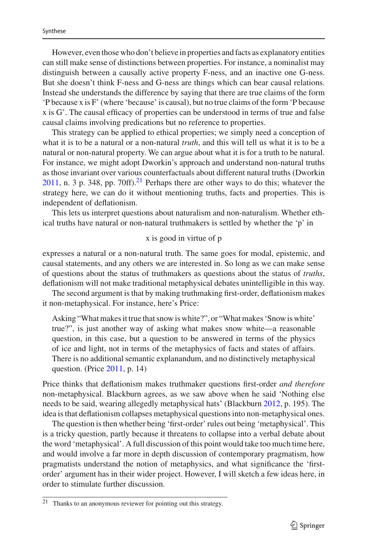However, even those who don't believe in properties and facts as explanatory entities can still make sense of distinctions between properties. For instance, a nominalist may distinguish between a causally active property F-ness, and an inactive one G-ness. But she doesn't think F-ness and G-ness are things which can bear causal relations. Instead she understands the difference by saying that there are true claims of the form 'P because x is F' (where 'because' is causal), but no true claims of the form 'P because x is G'. The causal efficacy of properties can be understood in terms of true and false causal claims involving predications but no reference to properties.

This strategy can be applied to ethical properties; we simply need a conception of what it is to be a natural or a non-natural *truth*, and this will tell us what it is to be a natural or non-natural property. We can argue about what it is for a truth to be natural. For instance, we might adopt Dworkin's approach and understand non-natural truths as those invariant over various counterfactuals about different natural truths (Dworki[n](#page-23-23) [2011,](#page-23-23) n. 3 p. 348, pp. 70ff).<sup>[21](#page-20-0)</sup> Perhaps there are other ways to do this; whatever the strategy here, we can do it without mentioning truths, facts and properties. This is independent of deflationism.

This lets us interpret questions about naturalism and non-naturalism. Whether ethical truths have natural or non-natural truthmakers is settled by whether the 'p' in

#### x is good in virtue of p

expresses a natural or a non-natural truth. The same goes for modal, epistemic, and causal statements, and any others we are interested in. So long as we can make sense of questions about the status of truthmakers as questions about the status of *truths*, deflationism will not make traditional metaphysical debates unintelligible in this way.

The second argument is that by making truthmaking first-order, deflationism makes it non-metaphysical. For instance, here's Price:

Asking "What makes it true that snow is white?", or "What makes 'Snow is white' true?", is just another way of asking what makes snow white—a reasonable question, in this case, but a question to be answered in terms of the physics of ice and light, not in terms of the metaphysics of facts and states of affairs. There is no additional semantic explanandum, and no distinctively metaphysical question. (Pric[e](#page-24-1) [2011](#page-24-1), p. 14)

Price thinks that deflationism makes truthmaker questions first-order *and therefore* non-metaphysical. Blackburn agrees, as we saw above when he said 'Nothing else needs to be said, wearing allegedly metaphysical hats' (Blackbur[n](#page-23-5) [2012,](#page-23-5) p. 195). The idea is that deflationism collapses metaphysical questions into non-metaphysical ones.

The question is then whether being 'first-order' rules out being 'metaphysical'. This is a tricky question, partly because it threatens to collapse into a verbal debate about the word 'metaphysical'. A full discussion of this point would take too much time here, and would involve a far more in depth discussion of contemporary pragmatism, how pragmatists understand the notion of metaphysics, and what significance the 'firstorder' argument has in their wider project. However, I will sketch a few ideas here, in order to stimulate further discussion.

<span id="page-20-0"></span>Thanks to an anonymous reviewer for pointing out this strategy.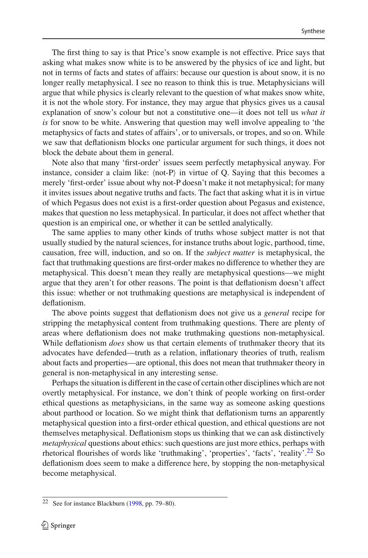The first thing to say is that Price's snow example is not effective. Price says that asking what makes snow white is to be answered by the physics of ice and light, but not in terms of facts and states of affairs: because our question is about snow, it is no longer really metaphysical. I see no reason to think this is true. Metaphysicians will argue that while physics is clearly relevant to the question of what makes snow white, it is not the whole story. For instance, they may argue that physics gives us a causal explanation of snow's colour but not a constitutive one—it does not tell us *what it is* for snow to be white. Answering that question may well involve appealing to 'the metaphysics of facts and states of affairs', or to universals, or tropes, and so on. While we saw that deflationism blocks one particular argument for such things, it does not block the debate about them in general.

Note also that many 'first-order' issues seem perfectly metaphysical anyway. For instance, consider a claim like:  $\langle \text{not-P} \rangle$  in virtue of Q. Saying that this becomes a merely 'first-order' issue about why not-P doesn't make it not metaphysical; for many it invites issues about negative truths and facts. The fact that asking what it is in virtue of which Pegasus does not exist is a first-order question about Pegasus and existence, makes that question no less metaphysical. In particular, it does not affect whether that question is an empirical one, or whether it can be settled analytically.

The same applies to many other kinds of truths whose subject matter is not that usually studied by the natural sciences, for instance truths about logic, parthood, time, causation, free will, induction, and so on. If the *subject matter* is metaphysical, the fact that truthmaking questions are first-order makes no difference to whether they are metaphysical. This doesn't mean they really are metaphysical questions—we might argue that they aren't for other reasons. The point is that deflationism doesn't affect this issue: whether or not truthmaking questions are metaphysical is independent of deflationism.

The above points suggest that deflationism does not give us a *general* recipe for stripping the metaphysical content from truthmaking questions. There are plenty of areas where deflationism does not make truthmaking questions non-metaphysical. While deflationism *does* show us that certain elements of truthmaker theory that its advocates have defended—truth as a relation, inflationary theories of truth, realism about facts and properties—are optional, this does not mean that truthmaker theory in general is non-metaphysical in any interesting sense.

Perhaps the situation is different in the case of certain other disciplines which are not overtly metaphysical. For instance, we don't think of people working on first-order ethical questions as metaphysicians, in the same way as someone asking questions about parthood or location. So we might think that deflationism turns an apparently metaphysical question into a first-order ethical question, and ethical questions are not themselves metaphysical. Deflationism stops us thinking that we can ask distinctively *metaphysical* questions about ethics: such questions are just more ethics, perhaps with rhetorical flourishes of words like 'truthmaking', 'properties', 'facts', 'reality'.<sup>[22](#page-21-0)</sup> So deflationism does seem to make a difference here, by stopping the non-metaphysical become metaphysical.

<span id="page-21-0"></span>See for instance Blackburn [\(1998,](#page-23-9) pp. 79–80).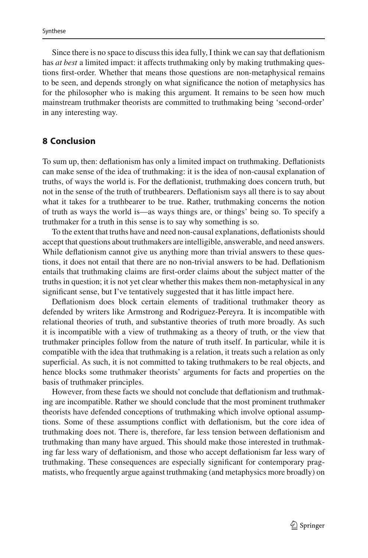Since there is no space to discuss this idea fully, I think we can say that deflationism has *at best* a limited impact: it affects truthmaking only by making truthmaking questions first-order. Whether that means those questions are non-metaphysical remains to be seen, and depends strongly on what significance the notion of metaphysics has for the philosopher who is making this argument. It remains to be seen how much mainstream truthmaker theorists are committed to truthmaking being 'second-order' in any interesting way.

### **8 Conclusion**

To sum up, then: deflationism has only a limited impact on truthmaking. Deflationists can make sense of the idea of truthmaking: it is the idea of non-causal explanation of truths, of ways the world is. For the deflationist, truthmaking does concern truth, but not in the sense of the truth of truthbearers. Deflationism says all there is to say about what it takes for a truthbearer to be true. Rather, truthmaking concerns the notion of truth as ways the world is—as ways things are, or things' being so. To specify a truthmaker for a truth in this sense is to say why something is so.

To the extent that truths have and need non-causal explanations, deflationists should accept that questions about truthmakers are intelligible, answerable, and need answers. While deflationism cannot give us anything more than trivial answers to these questions, it does not entail that there are no non-trivial answers to be had. Deflationism entails that truthmaking claims are first-order claims about the subject matter of the truths in question; it is not yet clear whether this makes them non-metaphysical in any significant sense, but I've tentatively suggested that it has little impact here.

Deflationism does block certain elements of traditional truthmaker theory as defended by writers like Armstrong and Rodriguez-Pereyra. It is incompatible with relational theories of truth, and substantive theories of truth more broadly. As such it is incompatible with a view of truthmaking as a theory of truth, or the view that truthmaker principles follow from the nature of truth itself. In particular, while it is compatible with the idea that truthmaking is a relation, it treats such a relation as only superficial. As such, it is not committed to taking truthmakers to be real objects, and hence blocks some truthmaker theorists' arguments for facts and properties on the basis of truthmaker principles.

However, from these facts we should not conclude that deflationism and truthmaking are incompatible. Rather we should conclude that the most prominent truthmaker theorists have defended conceptions of truthmaking which involve optional assumptions. Some of these assumptions conflict with deflationism, but the core idea of truthmaking does not. There is, therefore, far less tension between deflationism and truthmaking than many have argued. This should make those interested in truthmaking far less wary of deflationism, and those who accept deflationism far less wary of truthmaking. These consequences are especially significant for contemporary pragmatists, who frequently argue against truthmaking (and metaphysics more broadly) on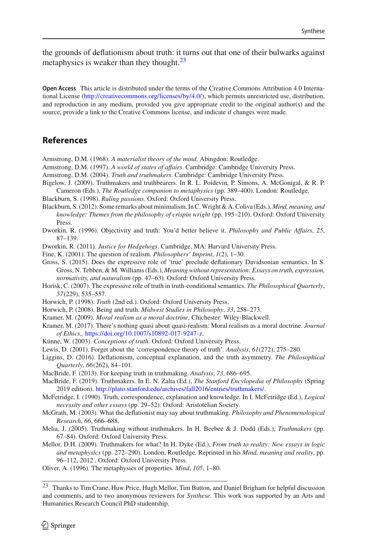the grounds of deflationism about truth: it turns out that one of their bulwarks against metaphysics is weaker than they thought. $^{23}$ 

**Open Access** This article is distributed under the terms of the Creative Commons Attribution 4.0 International License [\(http://creativecommons.org/licenses/by/4.0/\)](http://creativecommons.org/licenses/by/4.0/), which permits unrestricted use, distribution, and reproduction in any medium, provided you give appropriate credit to the original author(s) and the source, provide a link to the Creative Commons license, and indicate if changes were made.

# **References**

<span id="page-23-16"></span>Armstrong, D.M. (1968). *A materialist theory of the mind*. Abingdon: Routledge.

- <span id="page-23-4"></span>Armstrong, D.M. (1997). *A world of states of affairs*. Cambridge: Cambridge University Press.
- Armstrong, D.M. (2004). *Truth and truthmakers*. Cambridge: Cambridge University Press.
- <span id="page-23-0"></span>Bigelow, J. (2009). Truthmakers and truthbearers. In R. L. Poidevin, P. Simons, A. McGonigal, & R. P. Cameron (Eds.), *The Routledge companion to metaphysics* (pp. 389–400). London: Routledge.
- <span id="page-23-9"></span>Blackburn, S. (1998). *Ruling passions*. Oxford: Oxford University Press.

<span id="page-23-5"></span>Blackburn, S. (2012). Some remarks about minimalism. In C.Wright & A. Coliva (Eds.), *Mind, meaning, and knowledge: Themes from the philosophy of crispin wright* (pp. 195–210). Oxford: Oxford University Press.

<span id="page-23-22"></span>Dworkin, R. (1996). Objectivity and truth: You'd better believe it. *Philosophy and Public Affairs*, *25*, 87–139.

<span id="page-23-23"></span>Dworkin, R. (2011). *Justice for Hedgehogs*. Cambridge, MA: Harvard University Press.

<span id="page-23-12"></span>Fine, K. (2001). The question of realism. *Philosophers' Imprint*, *1*(2), 1–30.

<span id="page-23-18"></span>Gross, S. (2015). Does the expressive role of 'true' preclude deflationary Davidsonian semantics. In S. Gross, N. Tebben, & M. Williams (Eds.), *Meaning without representation: Essays on truth, expression, normativity, and naturalism* (pp. 47–63). Oxford: Oxford University Press.

<span id="page-23-19"></span>Horisk, C. (2007). The expressive role of truth in truth-conditional semantics. *The Philosophical Quarterly*, *57*(229), 535–557.

<span id="page-23-8"></span>Horwich, P. (1998). *Truth* (2nd ed.). Oxford: Oxford University Press.

<span id="page-23-2"></span>Horwich, P. (2008). Being and truth. *Midwest Studies in Philosophy*, *33*, 258–273.

- <span id="page-23-20"></span>Kramer, M. (2009). *Moral realism as a moral doctrine*. Chichester: Wiley-Blackwell.
- <span id="page-23-21"></span>Kramer, M. (2017). There's nothing quasi about quasi-realism: Moral realism as a moral doctrine. *Journal of Ethics*,. [https://doi.org/10.1007/s10892-017-9247-z.](https://doi.org/10.1007/s10892-017-9247-z)
- <span id="page-23-10"></span>Künne, W. (2003). *Conceptions of truth*. Oxford: Oxford University Press.
- <span id="page-23-1"></span>Lewis, D. (2001). Forget about the 'correspondence theory of truth'. *Analysis*, *61*(272), 275–280.
- <span id="page-23-11"></span>Liggins, D. (2016). Deflationism, conceptual explanation, and the truth asymmetry. *The Philosophical Quarterly*, *66*(262), 84–101.
- <span id="page-23-3"></span>MacBride, F. (2013). For keeping truth in truthmaking. *Analysis*, *73*, 686–695.
- <span id="page-23-6"></span>MacBride, F. (2019). Truthmakers. In E. N. Zalta (Ed.), *The Stanford Encylopedia of Philosophy* (Spring 2019 edition). [http://plato.stanford.edu/archives/fall2016/entries/truthmakers/.](http://plato.stanford.edu/archives/fall2016/entries/truthmakers/)

<span id="page-23-14"></span>McFetridge, I. (1990). Truth, correspondence, explanation and knowledge. In I. McFetridge (Ed.), *Logical necessity and other essays* (pp. 29–52). Oxford: Aristotelian Society.

- <span id="page-23-7"></span>McGrath, M. (2003). What the deflationist may say about truthmaking. *Philosophy and Phenomenological Research*, *66*, 666–688.
- <span id="page-23-17"></span>Melia, J. (2005). Truthmaking without truthmakers. In H. Beebee & J. Dodd (Eds.), *Truthmakers* (pp. 67–84). Oxford: Oxford University Press.
- <span id="page-23-15"></span>Mellor, D.H. (2009). Truthmakers for what? In H. Dyke (Ed.), *From truth to reality: New essays in logic and metaphysics* (pp. 272–290). London, Routledge. Reprinted in his *Mind, meaning and reality*, pp. 96–112, 2012 , Oxford: Oxford University Press.

<span id="page-23-13"></span>Oliver, A. (1996). The metaphysics of properties. *Mind*, *105*, 1–80.

<span id="page-23-24"></span><sup>23</sup> Thanks to Tim Crane, Huw Price, Hugh Mellor, Tim Button, and Daniel Brigham for helpful discussion and comments, and to two anonymous reviewers for *Synthese*. This work was supported by an Arts and Humanities Research Council PhD studentship.